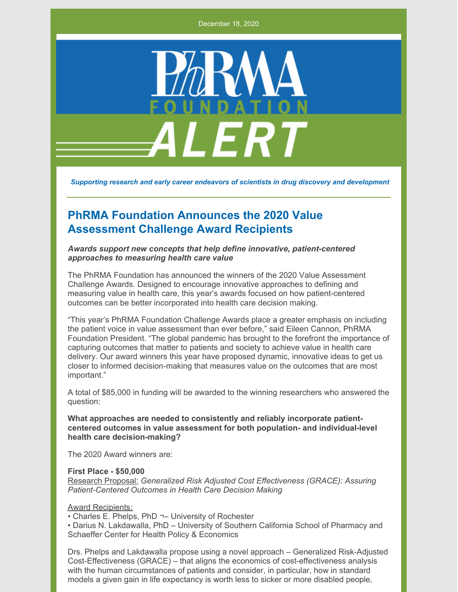December 18, 2020



*Supporting research and early career endeavors of scientists in drug discovery and development*

# **PhRMA Foundation Announces the 2020 Value Assessment Challenge Award Recipients**

*Awards support new concepts that help define innovative, patient-centered approaches to measuring health care value*

The PhRMA Foundation has announced the winners of the 2020 Value Assessment Challenge Awards. Designed to encourage innovative approaches to defining and measuring value in health care, this year's awards focused on how patient-centered outcomes can be better incorporated into health care decision making.

"This year's PhRMA Foundation Challenge Awards place a greater emphasis on including the patient voice in value assessment than ever before," said Eileen Cannon, PhRMA Foundation President. "The global pandemic has brought to the forefront the importance of capturing outcomes that matter to patients and society to achieve value in health care delivery. Our award winners this year have proposed dynamic, innovative ideas to get us closer to informed decision-making that measures value on the outcomes that are most important."

A total of \$85,000 in funding will be awarded to the winning researchers who answered the question:

**What approaches are needed to consistently and reliably incorporate patientcentered outcomes in value assessment for both population- and individual-level health care decision-making?**

The 2020 Award winners are:

#### **First Place - \$50,000**

Research Proposal: *Generalized Risk Adjusted Cost Effectiveness (GRACE): Assuring Patient-Centered Outcomes in Health Care Decision Making*

Award Recipients:

• Charles E. Phelps, PhD ¬– University of Rochester

• Darius N. Lakdawalla, PhD – University of Southern California School of Pharmacy and Schaeffer Center for Health Policy & Economics

Drs. Phelps and Lakdawalla propose using a novel approach – Generalized Risk-Adjusted Cost-Effectiveness (GRACE) – that aligns the economics of cost-effectiveness analysis with the human circumstances of patients and consider, in particular, how in standard models a given gain in life expectancy is worth less to sicker or more disabled people,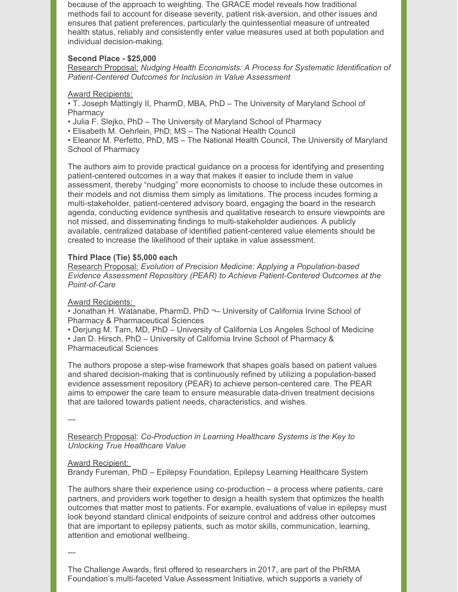because of the approach to weighting. The GRACE model reveals how traditional methods fail to account for disease severity, patient risk-aversion, and other issues and ensures that patient preferences, particularly the quintessential measure of untreated health status, reliably and consistently enter value measures used at both population and individual decision-making.

# **Second Place - \$25,000**

Research Proposal: *Nudging Health Economists: A Process for Systematic Identification of Patient-Centered Outcomes for Inclusion in Value Assessment*

# Award Recipients:

• T. Joseph Mattingly II, PharmD, MBA, PhD – The University of Maryland School of **Pharmacy** 

• Julia F. Slejko, PhD – The University of Maryland School of Pharmacy

• Elisabeth M. Oehrlein, PhD; MS – The National Health Council

• Eleanor M. Perfetto, PhD, MS – The National Health Council, The University of Maryland School of Pharmacy

The authors aim to provide practical guidance on a process for identifying and presenting patient-centered outcomes in a way that makes it easier to include them in value assessment, thereby "nudging" more economists to choose to include these outcomes in their models and not dismiss them simply as limitations. The process incudes forming a multi-stakeholder, patient-centered advisory board, engaging the board in the research agenda, conducting evidence synthesis and qualitative research to ensure viewpoints are not missed, and disseminating findings to multi-stakeholder audiences. A publicly available, centralized database of identified patient-centered value elements should be created to increase the likelihood of their uptake in value assessment.

# **Third Place (Tie) \$5,000 each**

Research Proposal: *Evolution of Precision Medicine: Applying a Population-based Evidence Assessment Repository (PEAR) to Achieve Patient-Centered Outcomes at the Point-of-Care*

# Award Recipients:

• Jonathan H. Watanabe, PharmD, PhD ¬– University of California Irvine School of Pharmacy & Pharmaceutical Sciences

• Derjung M. Tarn, MD, PhD – University of California Los Angeles School of Medicine

• Jan D. Hirsch, PhD – University of California Irvine School of Pharmacy & Pharmaceutical Sciences

The authors propose a step-wise framework that shapes goals based on patient values and shared decision-making that is continuously refined by utilizing a population-based evidence assessment repository (PEAR) to achieve person-centered care. The PEAR aims to empower the care team to ensure measurable data-driven treatment decisions that are tailored towards patient needs, characteristics, and wishes.

---

Research Proposal: *Co-Production in Learning Healthcare Systems is the Key to Unlocking True Healthcare Value*

# Award Recipient:

Brandy Fureman, PhD – Epilepsy Foundation, Epilepsy Learning Healthcare System

The authors share their experience using co-production – a process where patients, care partners, and providers work together to design a health system that optimizes the health outcomes that matter most to patients. For example, evaluations of value in epilepsy must look beyond standard clinical endpoints of seizure control and address other outcomes that are important to epilepsy patients, such as motor skills, communication, learning, attention and emotional wellbeing.

---

The Challenge Awards, first offered to researchers in 2017, are part of the PhRMA Foundation's multi-faceted Value Assessment Initiative, which supports a variety of